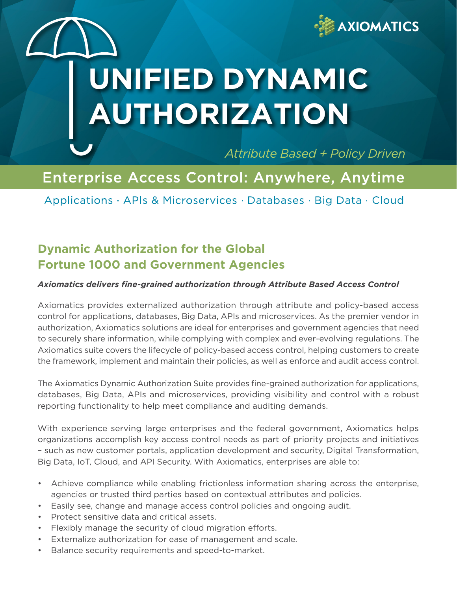

# **Enable Digital Transformation with DYNAMIC AUTHORIZATION**

**Attribute Based + Policy Driven** 

# Enterprise Access Control: Anywhere, Anytime

Applications · APIs & Microservices · Databases · Big Data · Cloud

## **Dynamic Authorization for the Global Fortune 1000 and Government Agencies**

#### *Axiomatics delivers fine-grained authorization through Attribute Based Access Control*

Axiomatics provides externalized authorization through attribute and policy-based access control for applications, databases, Big Data, APIs and microservices. As the premier vendor in authorization, Axiomatics solutions are ideal for enterprises and government agencies that need to securely share information, while complying with complex and ever-evolving regulations. The Axiomatics suite covers the lifecycle of policy-based access control, helping customers to create the framework, implement and maintain their policies, as well as enforce and audit access control.

The Axiomatics Dynamic Authorization Suite provides fine-grained authorization for applications, databases, Big Data, APIs and microservices, providing visibility and control with a robust reporting functionality to help meet compliance and auditing demands.

With experience serving large enterprises and the federal government, Axiomatics helps organizations accomplish key access control needs as part of priority projects and initiatives – such as new customer portals, application development and security, Digital Transformation, Big Data, IoT, Cloud, and API Security. With Axiomatics, enterprises are able to:

- Achieve compliance while enabling frictionless information sharing across the enterprise, agencies or trusted third parties based on contextual attributes and policies.
- Easily see, change and manage access control policies and ongoing audit.
- Protect sensitive data and critical assets.
- Flexibly manage the security of cloud migration efforts.
- Externalize authorization for ease of management and scale.
- Balance security requirements and speed-to-market.